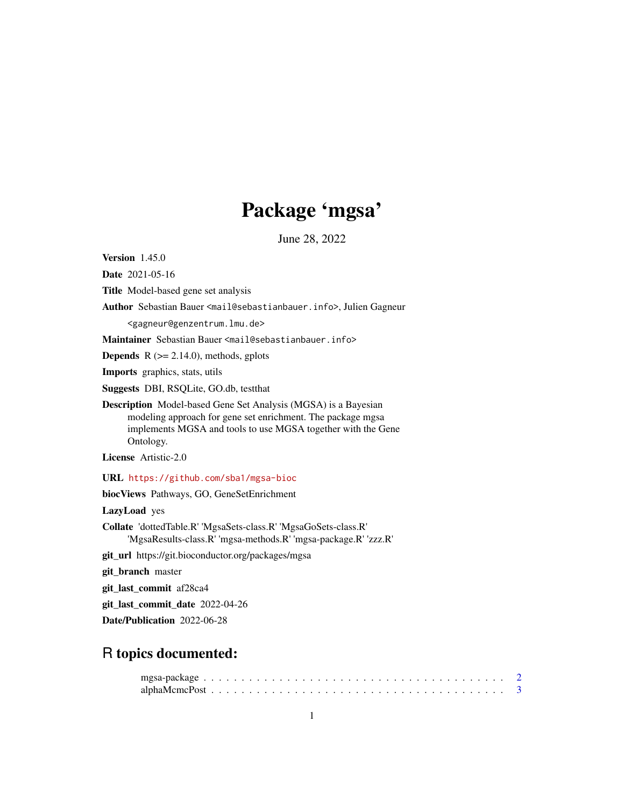# Package 'mgsa'

June 28, 2022

<span id="page-0-0"></span>Version 1.45.0

Date 2021-05-16

Title Model-based gene set analysis

Author Sebastian Bauer <mail@sebastianbauer.info>, Julien Gagneur

<gagneur@genzentrum.lmu.de>

Maintainer Sebastian Bauer <mail@sebastianbauer.info>

**Depends**  $R$  ( $>= 2.14.0$ ), methods, gplots

Imports graphics, stats, utils

Suggests DBI, RSQLite, GO.db, testthat

Description Model-based Gene Set Analysis (MGSA) is a Bayesian modeling approach for gene set enrichment. The package mgsa implements MGSA and tools to use MGSA together with the Gene Ontology.

License Artistic-2.0

URL <https://github.com/sba1/mgsa-bioc>

biocViews Pathways, GO, GeneSetEnrichment

LazyLoad yes

Collate 'dottedTable.R' 'MgsaSets-class.R' 'MgsaGoSets-class.R' 'MgsaResults-class.R' 'mgsa-methods.R' 'mgsa-package.R' 'zzz.R'

git\_url https://git.bioconductor.org/packages/mgsa

git\_branch master

git\_last\_commit af28ca4

git\_last\_commit\_date 2022-04-26

Date/Publication 2022-06-28

# R topics documented: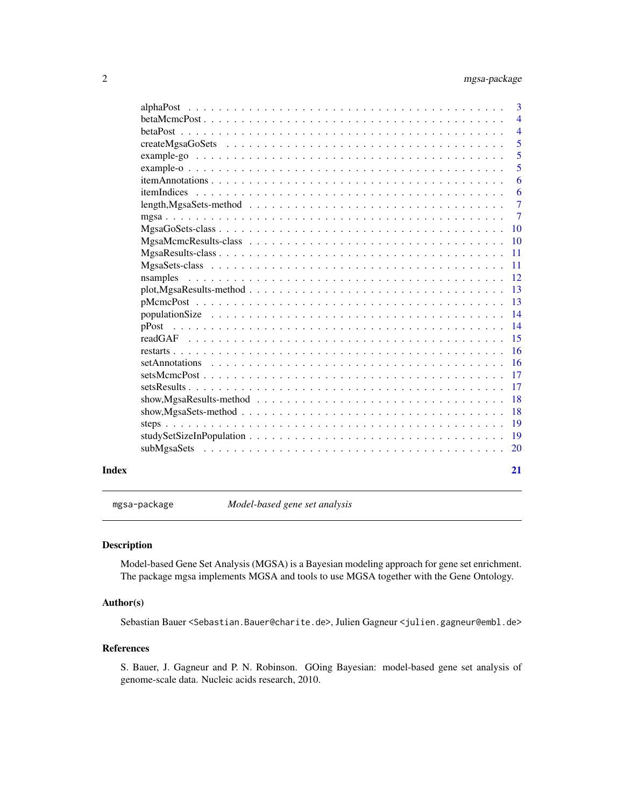<span id="page-1-0"></span>

|       | $\overline{3}$                                                                                                                  |                |
|-------|---------------------------------------------------------------------------------------------------------------------------------|----------------|
|       | $\overline{4}$                                                                                                                  |                |
|       |                                                                                                                                 | $\overline{4}$ |
|       | $\overline{5}$                                                                                                                  |                |
|       |                                                                                                                                 | 5              |
|       |                                                                                                                                 | 5              |
|       |                                                                                                                                 | 6              |
|       |                                                                                                                                 | 6              |
|       | $\overline{7}$                                                                                                                  |                |
|       |                                                                                                                                 | $\overline{7}$ |
|       |                                                                                                                                 |                |
|       | <b>10</b>                                                                                                                       |                |
|       | -11                                                                                                                             |                |
|       | $\overline{11}$                                                                                                                 |                |
|       | -12<br>nsamples                                                                                                                 |                |
|       | -13<br>$plot, MgsaResults - method$                                                                                             |                |
|       | 13                                                                                                                              |                |
|       | $\overline{14}$<br>population Size $\ldots \ldots \ldots \ldots \ldots \ldots \ldots \ldots \ldots \ldots \ldots \ldots \ldots$ |                |
|       | 14<br>pPost                                                                                                                     |                |
|       |                                                                                                                                 |                |
|       | -16                                                                                                                             |                |
|       | - 16                                                                                                                            |                |
|       | <b>17</b>                                                                                                                       |                |
|       | <b>17</b>                                                                                                                       |                |
|       | -18<br>$show, MgsaResults-method \dots \dots \dots \dots \dots \dots \dots \dots \dots \dots \dots \dots \dots$                 |                |
|       | <b>18</b>                                                                                                                       |                |
|       | <sup>19</sup>                                                                                                                   |                |
|       | -19                                                                                                                             |                |
|       |                                                                                                                                 |                |
|       |                                                                                                                                 |                |
| Index | 21                                                                                                                              |                |

mgsa-package *Model-based gene set analysis*

# Description

Model-based Gene Set Analysis (MGSA) is a Bayesian modeling approach for gene set enrichment. The package mgsa implements MGSA and tools to use MGSA together with the Gene Ontology.

#### Author(s)

Sebastian Bauer <Sebastian.Bauer@charite.de>, Julien Gagneur <julien.gagneur@embl.de>

#### References

S. Bauer, J. Gagneur and P. N. Robinson. GOing Bayesian: model-based gene set analysis of genome-scale data. Nucleic acids research, 2010.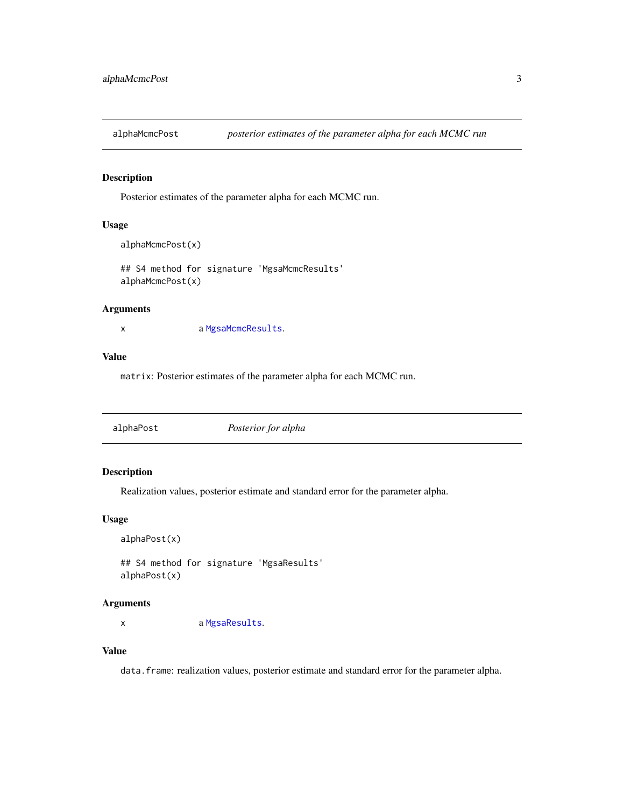<span id="page-2-0"></span>

Posterior estimates of the parameter alpha for each MCMC run.

# Usage

```
alphaMcmcPost(x)
```
## S4 method for signature 'MgsaMcmcResults' alphaMcmcPost(x)

### Arguments

x a [MgsaMcmcResults](#page-9-1).

# Value

matrix: Posterior estimates of the parameter alpha for each MCMC run.

# Description

Realization values, posterior estimate and standard error for the parameter alpha.

#### Usage

alphaPost(x)

## S4 method for signature 'MgsaResults' alphaPost(x)

#### Arguments

x a [MgsaResults](#page-10-1).

# Value

data.frame: realization values, posterior estimate and standard error for the parameter alpha.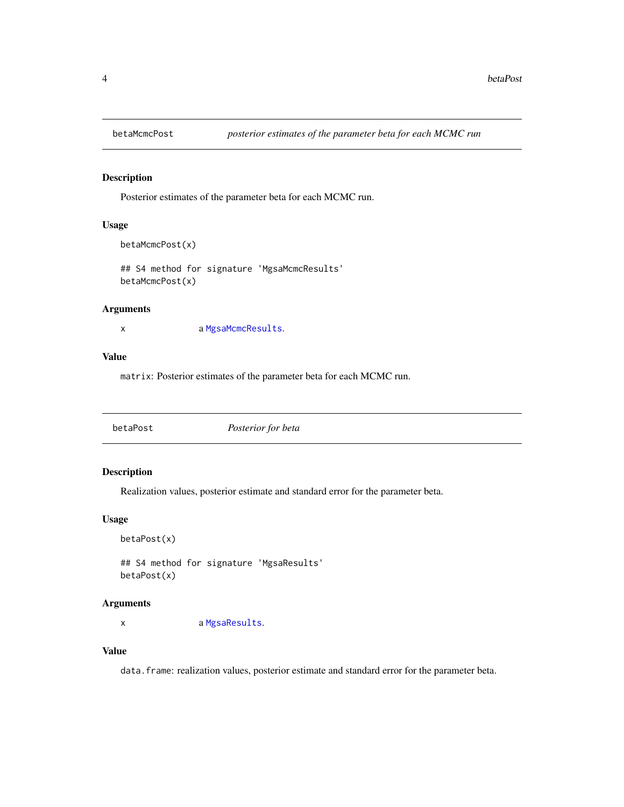<span id="page-3-0"></span>

Posterior estimates of the parameter beta for each MCMC run.

# Usage

```
betaMcmcPost(x)
```
## S4 method for signature 'MgsaMcmcResults' betaMcmcPost(x)

#### Arguments

x a [MgsaMcmcResults](#page-9-1).

# Value

matrix: Posterior estimates of the parameter beta for each MCMC run.

|--|

# Description

Realization values, posterior estimate and standard error for the parameter beta.

#### Usage

betaPost(x)

## S4 method for signature 'MgsaResults' betaPost(x)

#### Arguments

x a [MgsaResults](#page-10-1).

# Value

data.frame: realization values, posterior estimate and standard error for the parameter beta.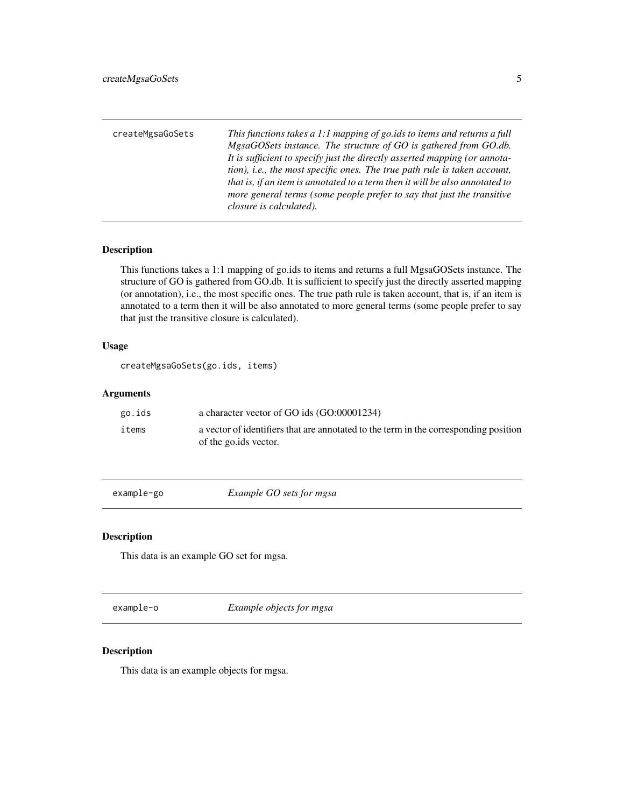<span id="page-4-0"></span>

| createMgsaGoSets | This functions takes a 1:1 mapping of go.ids to items and returns a full<br>MgsaGOSets instance. The structure of GO is gathered from GO.db.<br>It is sufficient to specify just the directly asserted mapping (or annota-<br>tion), <i>i.e.</i> , the most specific ones. The true path rule is taken account,<br>that is, if an item is annotated to a term then it will be also annotated to<br>more general terms (some people prefer to say that just the transitive |
|------------------|---------------------------------------------------------------------------------------------------------------------------------------------------------------------------------------------------------------------------------------------------------------------------------------------------------------------------------------------------------------------------------------------------------------------------------------------------------------------------|
|                  | closure is calculated).                                                                                                                                                                                                                                                                                                                                                                                                                                                   |

This functions takes a 1:1 mapping of go.ids to items and returns a full MgsaGOSets instance. The structure of GO is gathered from GO.db. It is sufficient to specify just the directly asserted mapping (or annotation), i.e., the most specific ones. The true path rule is taken account, that is, if an item is annotated to a term then it will be also annotated to more general terms (some people prefer to say that just the transitive closure is calculated).

#### Usage

createMgsaGoSets(go.ids, items)

# Arguments

| go.ids | a character vector of GO ids (GO:00001234)                                           |
|--------|--------------------------------------------------------------------------------------|
| items  | a vector of identifiers that are annotated to the term in the corresponding position |
|        | of the go.ids vector.                                                                |

example-go *Example GO sets for mgsa*

# Description

This data is an example GO set for mgsa.

example-o *Example objects for mgsa*

#### Description

This data is an example objects for mgsa.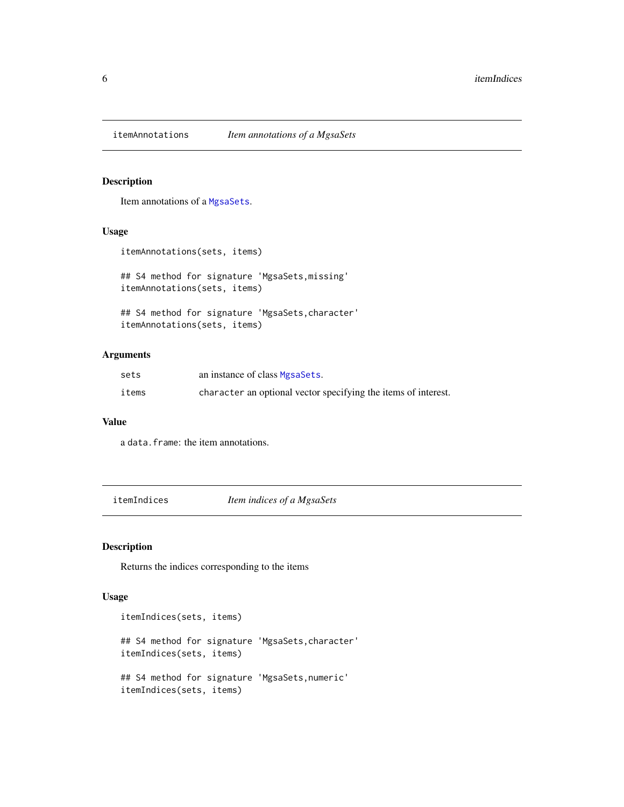<span id="page-5-0"></span>

Item annotations of a [MgsaSets](#page-10-2).

# Usage

itemAnnotations(sets, items)

## S4 method for signature 'MgsaSets,missing' itemAnnotations(sets, items)

## S4 method for signature 'MgsaSets,character' itemAnnotations(sets, items)

# Arguments

| sets  | an instance of class MgsaSets.                                 |
|-------|----------------------------------------------------------------|
| items | character an optional vector specifying the items of interest. |

#### Value

a data.frame: the item annotations.

itemIndices *Item indices of a MgsaSets*

# Description

Returns the indices corresponding to the items

#### Usage

```
itemIndices(sets, items)
## S4 method for signature 'MgsaSets,character'
itemIndices(sets, items)
## S4 method for signature 'MgsaSets,numeric'
itemIndices(sets, items)
```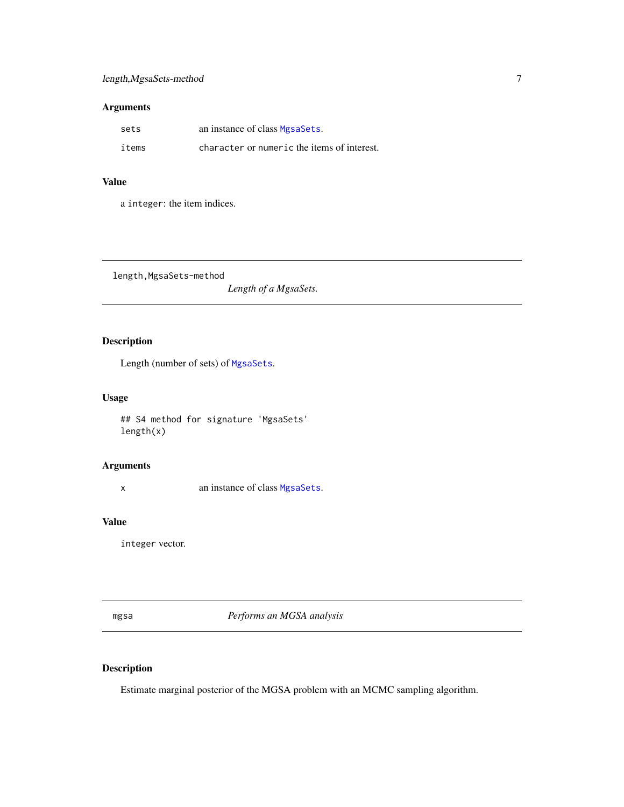# <span id="page-6-0"></span>Arguments

| sets  | an instance of class MgsaSets.              |
|-------|---------------------------------------------|
| items | character or numeric the items of interest. |

# Value

a integer: the item indices.

length,MgsaSets-method

*Length of a MgsaSets.*

# Description

Length (number of sets) of [MgsaSets](#page-10-2).

# Usage

## S4 method for signature 'MgsaSets' length(x)

# Arguments

x an instance of class [MgsaSets](#page-10-2).

# Value

integer vector.

<span id="page-6-1"></span>mgsa *Performs an MGSA analysis*

# Description

Estimate marginal posterior of the MGSA problem with an MCMC sampling algorithm.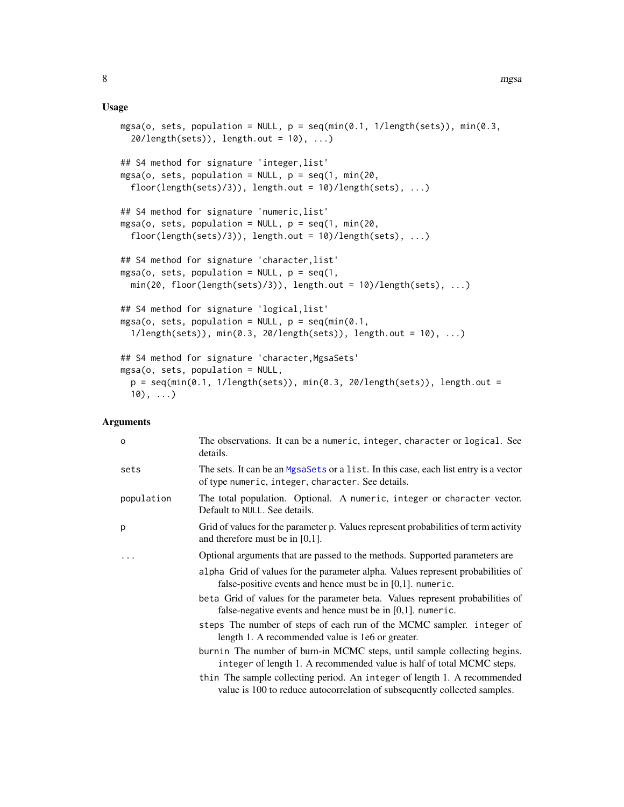#### Usage

```
mgsa(o, sets, population = NULL, p = \text{seq}(\min(0.1, 1/\text{length}(\text{sets})), \min(0.3,20/\text{length}(\text{sets}), length.out = 10), ...)
## S4 method for signature 'integer, list'
mgsa(o, sets, population = NULL, p = seq(1, min(20,floor(length(sets)/3)), length.out = 10)/length(sets), ...)
## S4 method for signature 'numeric,list'
mgsa(o, sets, population = NULL, p = seq(1, min(20,floor(length(sets)/3)), length.out = 10)/length(sets), ...)
## S4 method for signature 'character, list'
mgsa(o, sets, population = NULL, p = seq(1,min(20, float(length(sets)/3)), length.out = 10)/length(sets), ...)## S4 method for signature 'logical,list'
mgsa(o, sets, population = NULL, p = seq(min(0.1,1/length(sets)), min(0.3, 20/length(sets)), length.out = 10), ...)
## S4 method for signature 'character, MgsaSets'
mgsa(o, sets, population = NULL,
  p = \text{seq}(\text{min}(\emptyset.1, 1/\text{length}(\text{sets})), \text{min}(\emptyset.3, 20/\text{length}(\text{sets})), \text{length.out } =10), \ldots)
```
#### Arguments

| $\circ$    | The observations. It can be a numeric, integer, character or logical. See<br>details.                                                                 |
|------------|-------------------------------------------------------------------------------------------------------------------------------------------------------|
| sets       | The sets. It can be an MgsaSets or a list. In this case, each list entry is a vector<br>of type numeric, integer, character. See details.             |
| population | The total population. Optional. A numeric, integer or character vector.<br>Default to NULL. See details.                                              |
| p          | Grid of values for the parameter p. Values represent probabilities of term activity<br>and therefore must be in $[0,1]$ .                             |
| .          | Optional arguments that are passed to the methods. Supported parameters are                                                                           |
|            | alpha Grid of values for the parameter alpha. Values represent probabilities of<br>false-positive events and hence must be in $[0,1]$ . numeric.      |
|            | beta Grid of values for the parameter beta. Values represent probabilities of<br>false-negative events and hence must be in $[0,1]$ . numeric.        |
|            | steps The number of steps of each run of the MCMC sampler. integer of<br>length 1. A recommended value is 1e6 or greater.                             |
|            | burnin The number of burn-in MCMC steps, until sample collecting begins.<br>integer of length 1. A recommended value is half of total MCMC steps.     |
|            | thin The sample collecting period. An integer of length 1. A recommended<br>value is 100 to reduce autocorrelation of subsequently collected samples. |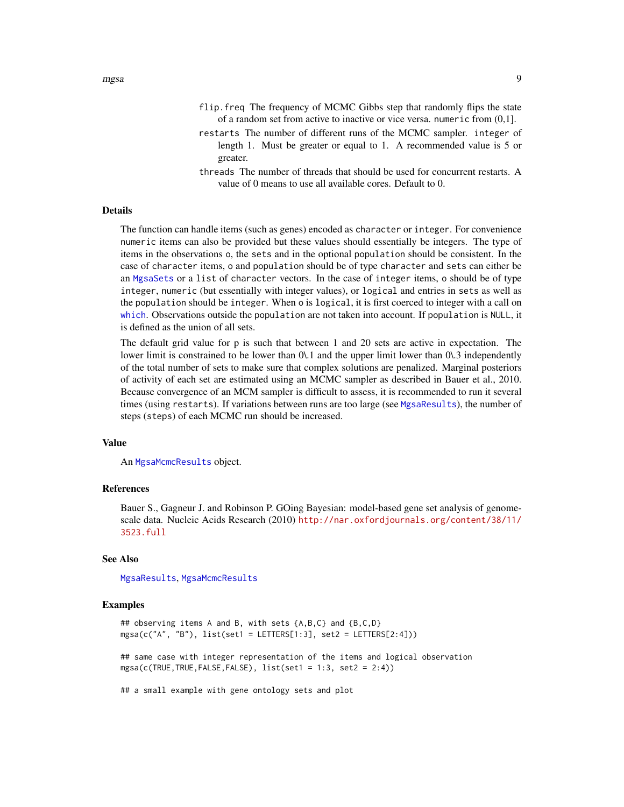- <span id="page-8-0"></span>flip.freq The frequency of MCMC Gibbs step that randomly flips the state of a random set from active to inactive or vice versa. numeric from (0,1].
- restarts The number of different runs of the MCMC sampler. integer of length 1. Must be greater or equal to 1. A recommended value is 5 or greater.
- threads The number of threads that should be used for concurrent restarts. A value of 0 means to use all available cores. Default to 0.

#### Details

The function can handle items (such as genes) encoded as character or integer. For convenience numeric items can also be provided but these values should essentially be integers. The type of items in the observations o, the sets and in the optional population should be consistent. In the case of character items, o and population should be of type character and sets can either be an [MgsaSets](#page-10-2) or a list of character vectors. In the case of integer items, o should be of type integer, numeric (but essentially with integer values), or logical and entries in sets as well as the population should be integer. When o is logical, it is first coerced to integer with a call on [which](#page-0-0). Observations outside the population are not taken into account. If population is NULL, it is defined as the union of all sets.

The default grid value for p is such that between 1 and 20 sets are active in expectation. The lower limit is constrained to be lower than 0\.1 and the upper limit lower than 0\.3 independently of the total number of sets to make sure that complex solutions are penalized. Marginal posteriors of activity of each set are estimated using an MCMC sampler as described in Bauer et al., 2010. Because convergence of an MCM sampler is difficult to assess, it is recommended to run it several times (using restarts). If variations between runs are too large (see [MgsaResults](#page-10-1)), the number of steps (steps) of each MCMC run should be increased.

#### Value

An [MgsaMcmcResults](#page-9-1) object.

#### References

Bauer S., Gagneur J. and Robinson P. GOing Bayesian: model-based gene set analysis of genomescale data. Nucleic Acids Research (2010) [http://nar.oxfordjournals.org/content/38/11/](http://nar.oxfordjournals.org/content/38/11/3523.full) [3523.full](http://nar.oxfordjournals.org/content/38/11/3523.full)

#### See Also

[MgsaResults](#page-10-1), [MgsaMcmcResults](#page-9-1)

#### Examples

```
## observing items A and B, with sets {A,B,C} and {B,C,D}
mgsa(c("A", "B"), list(set1 = LETTERS[1:3], set2 = LETTERS[2:4]))
```
## same case with integer representation of the items and logical observation mgsa(c(TRUE,TRUE,FALSE,FALSE), list(set1 = 1:3, set2 = 2:4))

## a small example with gene ontology sets and plot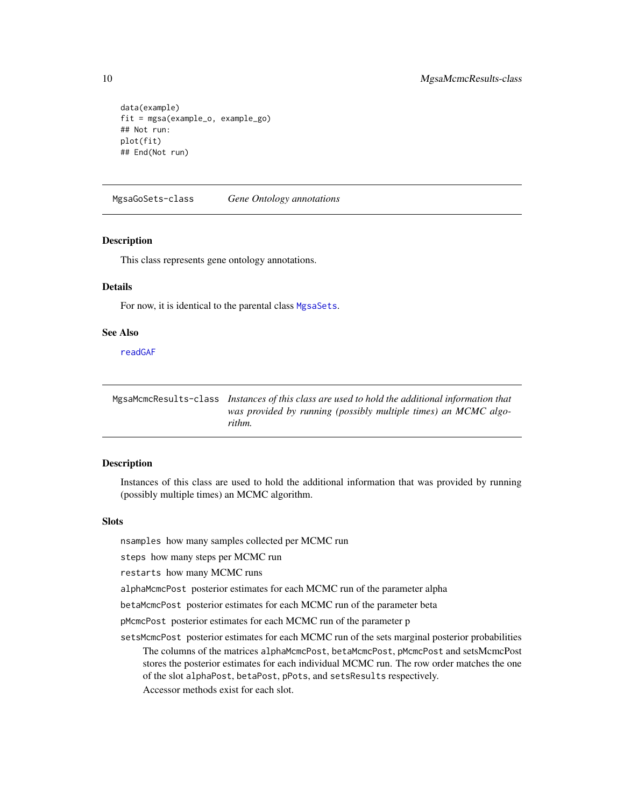```
data(example)
fit = mgsa(example_o, example_go)
## Not run:
plot(fit)
## End(Not run)
```
<span id="page-9-2"></span>MgsaGoSets-class *Gene Ontology annotations*

#### Description

This class represents gene ontology annotations.

#### Details

For now, it is identical to the parental class [MgsaSets](#page-10-2).

#### See Also

[readGAF](#page-14-1)

<span id="page-9-1"></span>MgsaMcmcResults-class *Instances of this class are used to hold the additional information that was provided by running (possibly multiple times) an MCMC algorithm.*

# Description

Instances of this class are used to hold the additional information that was provided by running (possibly multiple times) an MCMC algorithm.

#### Slots

nsamples how many samples collected per MCMC run

steps how many steps per MCMC run

restarts how many MCMC runs

alphaMcmcPost posterior estimates for each MCMC run of the parameter alpha

betaMcmcPost posterior estimates for each MCMC run of the parameter beta

pMcmcPost posterior estimates for each MCMC run of the parameter p

setsMcmcPost posterior estimates for each MCMC run of the sets marginal posterior probabilities The columns of the matrices alphaMcmcPost, betaMcmcPost, pMcmcPost and setsMcmcPost stores the posterior estimates for each individual MCMC run. The row order matches the one of the slot alphaPost, betaPost, pPots, and setsResults respectively. Accessor methods exist for each slot.

<span id="page-9-0"></span>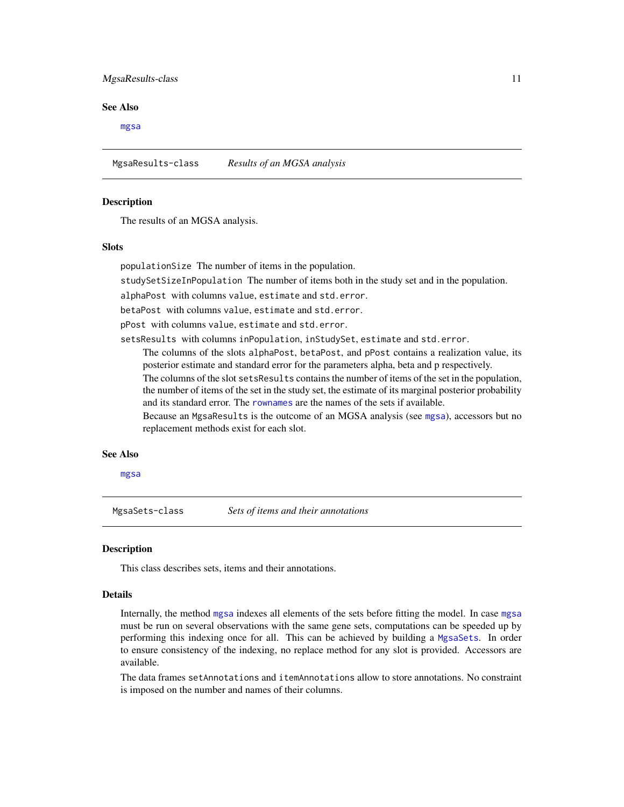#### <span id="page-10-0"></span>MgsaResults-class 11

#### See Also

[mgsa](#page-6-1)

<span id="page-10-1"></span>MgsaResults-class *Results of an MGSA analysis*

#### Description

The results of an MGSA analysis.

#### Slots

populationSize The number of items in the population.

studySetSizeInPopulation The number of items both in the study set and in the population.

alphaPost with columns value, estimate and std.error.

betaPost with columns value, estimate and std.error.

pPost with columns value, estimate and std.error.

setsResults with columns inPopulation, inStudySet, estimate and std.error.

The columns of the slots alphaPost, betaPost, and pPost contains a realization value, its posterior estimate and standard error for the parameters alpha, beta and p respectively.

The columns of the slot setsResults contains the number of items of the set in the population, the number of items of the set in the study set, the estimate of its marginal posterior probability and its standard error. The [rownames](#page-0-0) are the names of the sets if available.

Because an MgsaResults is the outcome of an MGSA analysis (see [mgsa](#page-6-1)), accessors but no replacement methods exist for each slot.

#### See Also

#### [mgsa](#page-6-1)

<span id="page-10-2"></span>MgsaSets-class *Sets of items and their annotations*

## **Description**

This class describes sets, items and their annotations.

#### Details

Internally, the method [mgsa](#page-6-1) indexes all elements of the sets before fitting the model. In case [mgsa](#page-6-1) must be run on several observations with the same gene sets, computations can be speeded up by performing this indexing once for all. This can be achieved by building a [MgsaSets](#page-10-2). In order to ensure consistency of the indexing, no replace method for any slot is provided. Accessors are available.

The data frames setAnnotations and itemAnnotations allow to store annotations. No constraint is imposed on the number and names of their columns.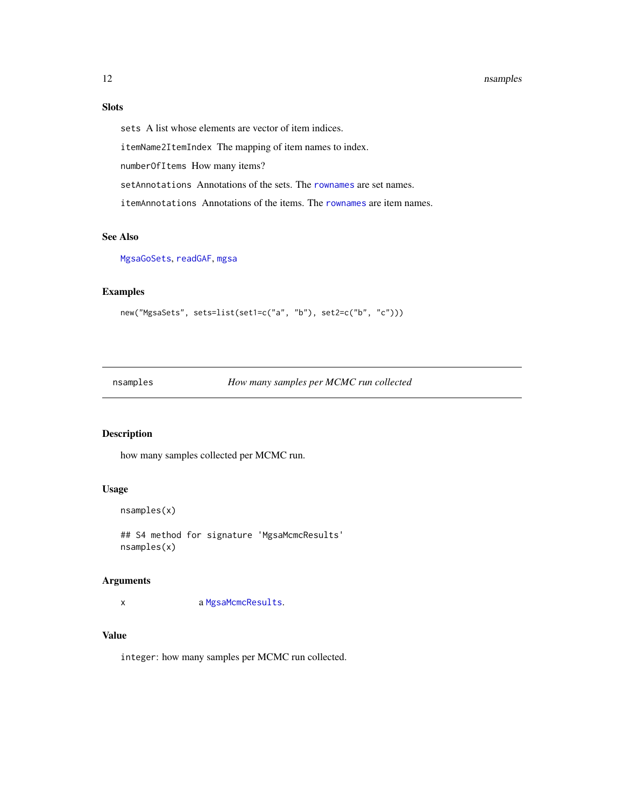#### <span id="page-11-0"></span>12 nsamples and the state of the state of the state of the state of the state of the state of the state of the state of the state of the state of the state of the state of the state of the state of the state of the state o

# Slots

sets A list whose elements are vector of item indices.

itemName2ItemIndex The mapping of item names to index.

numberOfItems How many items?

setAnnotations Annotations of the sets. The [rownames](#page-0-0) are set names.

itemAnnotations Annotations of the items. The [rownames](#page-0-0) are item names.

# See Also

[MgsaGoSets](#page-9-2), [readGAF](#page-14-1), [mgsa](#page-6-1)

# Examples

```
new("MgsaSets", sets=list(set1=c("a", "b"), set2=c("b", "c")))
```
nsamples *How many samples per MCMC run collected*

#### Description

how many samples collected per MCMC run.

# Usage

```
nsamples(x)
```
## S4 method for signature 'MgsaMcmcResults' nsamples(x)

#### Arguments

x a [MgsaMcmcResults](#page-9-1).

# Value

integer: how many samples per MCMC run collected.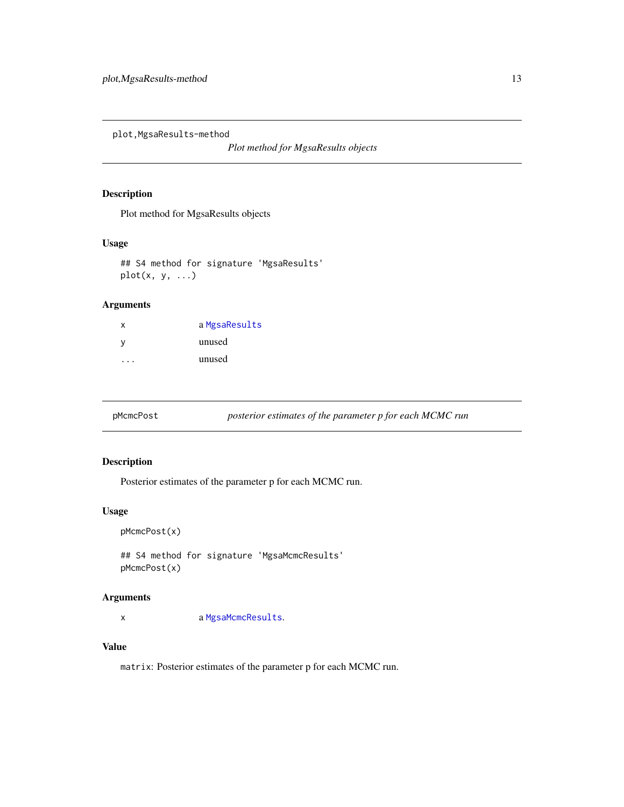<span id="page-12-0"></span>plot,MgsaResults-method

*Plot method for MgsaResults objects*

# Description

Plot method for MgsaResults objects

#### Usage

## S4 method for signature 'MgsaResults'  $plot(x, y, ...)$ 

# Arguments

| $\boldsymbol{\mathsf{x}}$ | a MgsaResults |
|---------------------------|---------------|
| v                         | unused        |
|                           | unused        |

pMcmcPost *posterior estimates of the parameter p for each MCMC run*

# Description

Posterior estimates of the parameter p for each MCMC run.

#### Usage

```
pMcmcPost(x)
```
## S4 method for signature 'MgsaMcmcResults' pMcmcPost(x)

#### Arguments

x a [MgsaMcmcResults](#page-9-1).

# Value

matrix: Posterior estimates of the parameter p for each MCMC run.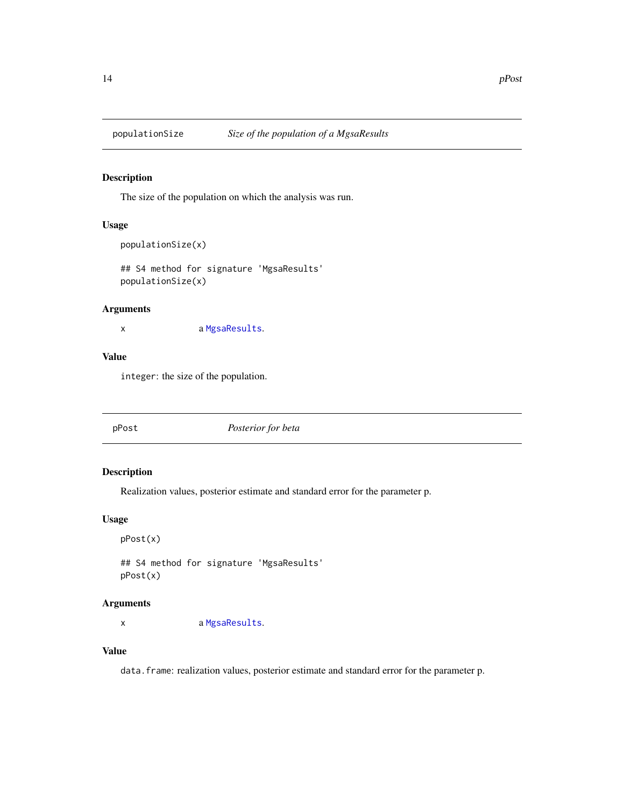<span id="page-13-0"></span>

The size of the population on which the analysis was run.

# Usage

```
populationSize(x)
```
## S4 method for signature 'MgsaResults' populationSize(x)

### Arguments

x a [MgsaResults](#page-10-1).

# Value

integer: the size of the population.

|--|

# Description

Realization values, posterior estimate and standard error for the parameter p.

#### Usage

```
pPost(x)
```
## S4 method for signature 'MgsaResults' pPost(x)

# Arguments

x a [MgsaResults](#page-10-1).

# Value

data.frame: realization values, posterior estimate and standard error for the parameter p.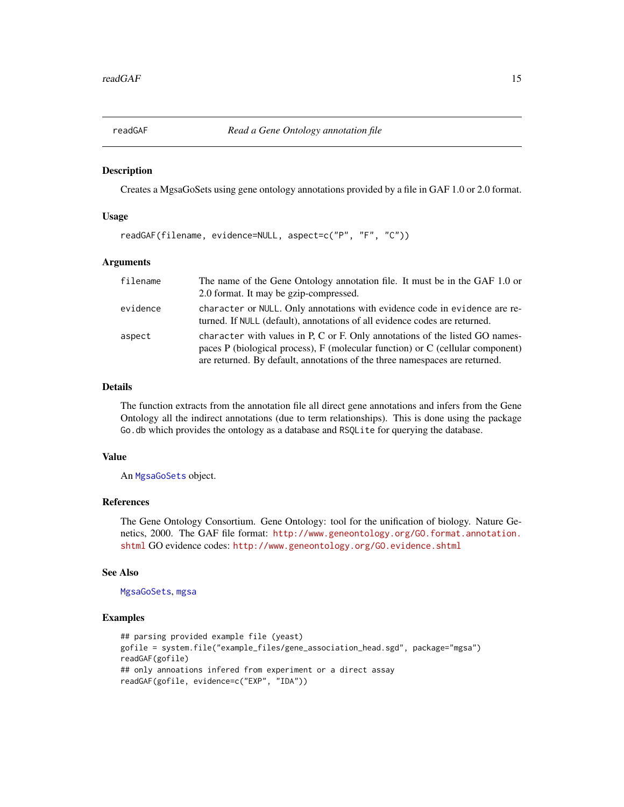<span id="page-14-1"></span><span id="page-14-0"></span>

Creates a MgsaGoSets using gene ontology annotations provided by a file in GAF 1.0 or 2.0 format.

#### Usage

```
readGAF(filename, evidence=NULL, aspect=c("P", "F", "C"))
```
#### Arguments

| filename | The name of the Gene Ontology annotation file. It must be in the GAF 1.0 or                                                                                                                                                                         |
|----------|-----------------------------------------------------------------------------------------------------------------------------------------------------------------------------------------------------------------------------------------------------|
|          | 2.0 format. It may be gzip-compressed.                                                                                                                                                                                                              |
| evidence | character or NULL. Only annotations with evidence code in evidence are re-<br>turned. If NULL (default), annotations of all evidence codes are returned.                                                                                            |
| aspect   | character with values in P, C or F. Only annotations of the listed GO names-<br>paces $P$ (biological process), $F$ (molecular function) or $C$ (cellular component)<br>are returned. By default, annotations of the three namespaces are returned. |

# Details

The function extracts from the annotation file all direct gene annotations and infers from the Gene Ontology all the indirect annotations (due to term relationships). This is done using the package Go.db which provides the ontology as a database and RSQLite for querying the database.

#### Value

An [MgsaGoSets](#page-9-2) object.

#### References

The Gene Ontology Consortium. Gene Ontology: tool for the unification of biology. Nature Genetics, 2000. The GAF file format: [http://www.geneontology.org/GO.format.annotation.](http://www.geneontology.org/GO.format.annotation.shtml) [shtml](http://www.geneontology.org/GO.format.annotation.shtml) GO evidence codes: <http://www.geneontology.org/GO.evidence.shtml>

#### See Also

[MgsaGoSets](#page-9-2), [mgsa](#page-6-1)

#### Examples

```
## parsing provided example file (yeast)
gofile = system.file("example_files/gene_association_head.sgd", package="mgsa")
readGAF(gofile)
## only annoations infered from experiment or a direct assay
readGAF(gofile, evidence=c("EXP", "IDA"))
```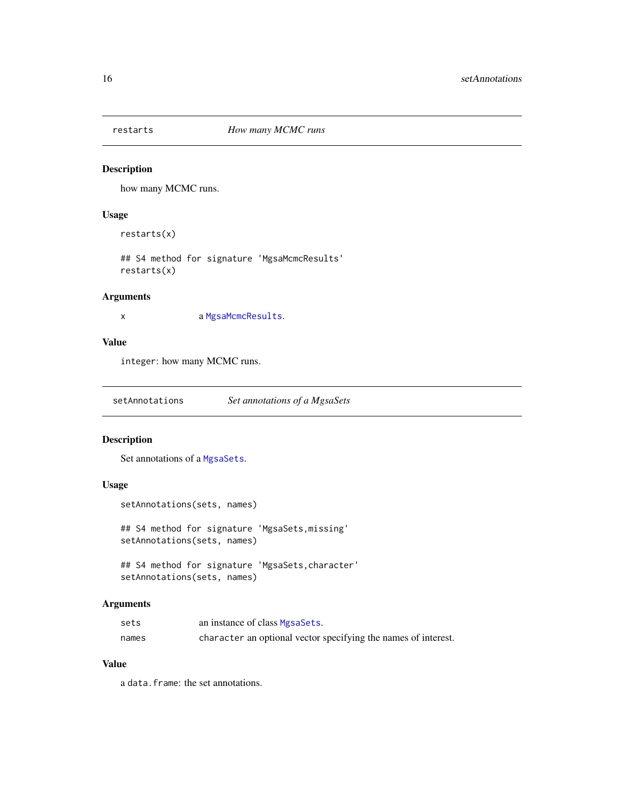<span id="page-15-0"></span>

how many MCMC runs.

# Usage

restarts(x)

## S4 method for signature 'MgsaMcmcResults' restarts(x)

# Arguments

x a [MgsaMcmcResults](#page-9-1).

# Value

integer: how many MCMC runs.

setAnnotations *Set annotations of a MgsaSets*

#### Description

Set annotations of a [MgsaSets](#page-10-2).

# Usage

```
setAnnotations(sets, names)
```
## S4 method for signature 'MgsaSets,missing' setAnnotations(sets, names)

## S4 method for signature 'MgsaSets,character' setAnnotations(sets, names)

# Arguments

| sets  | an instance of class MgsaSets.                                 |
|-------|----------------------------------------------------------------|
| names | character an optional vector specifying the names of interest. |

# Value

a data.frame: the set annotations.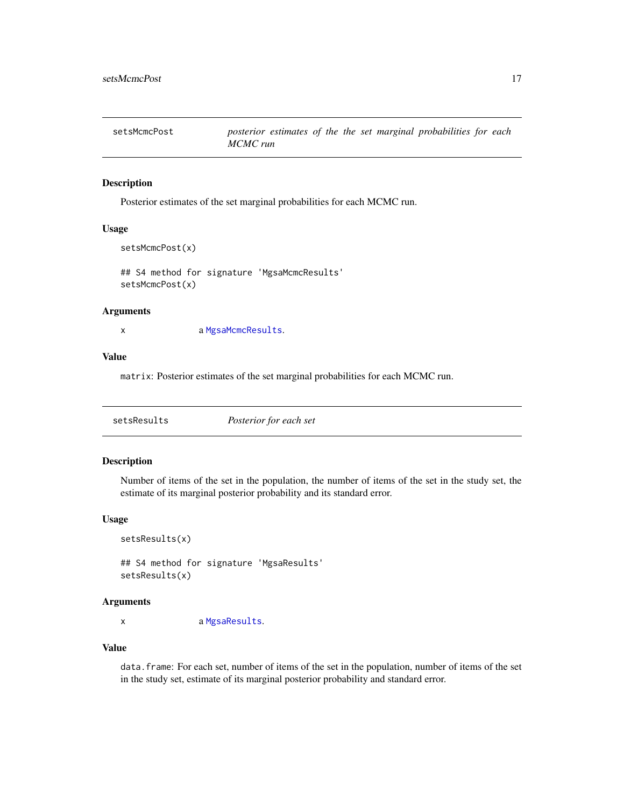<span id="page-16-0"></span>

Posterior estimates of the set marginal probabilities for each MCMC run.

# Usage

```
setsMcmcPost(x)
```
## S4 method for signature 'MgsaMcmcResults' setsMcmcPost(x)

#### Arguments

x a [MgsaMcmcResults](#page-9-1).

#### Value

matrix: Posterior estimates of the set marginal probabilities for each MCMC run.

| Posterior for each set<br>setsResults |
|---------------------------------------|
|---------------------------------------|

# Description

Number of items of the set in the population, the number of items of the set in the study set, the estimate of its marginal posterior probability and its standard error.

#### Usage

```
setsResults(x)
```
## S4 method for signature 'MgsaResults' setsResults(x)

#### Arguments

x a [MgsaResults](#page-10-1).

#### Value

data.frame: For each set, number of items of the set in the population, number of items of the set in the study set, estimate of its marginal posterior probability and standard error.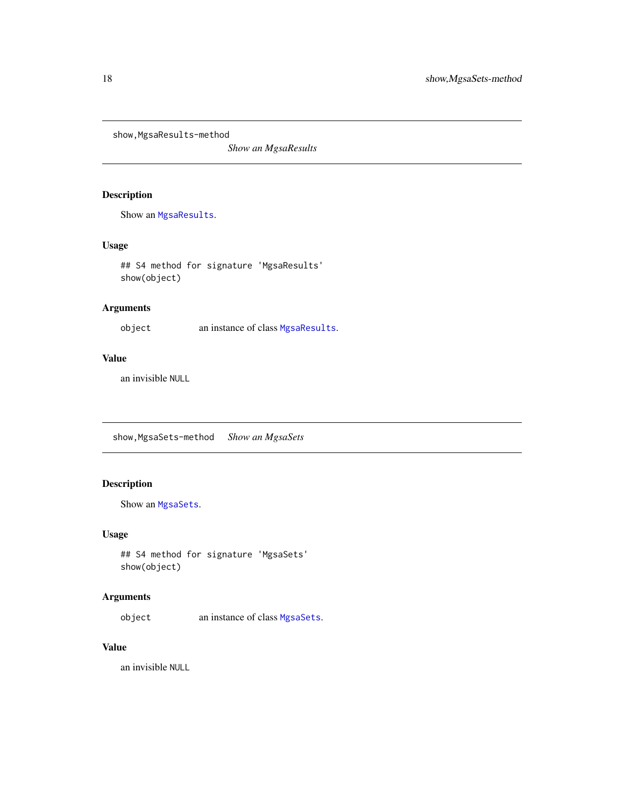<span id="page-17-0"></span>show, MgsaResults-method

*Show an MgsaResults*

# Description

Show an [MgsaResults](#page-10-1).

# Usage

## S4 method for signature 'MgsaResults' show(object)

# Arguments

object an instance of class [MgsaResults](#page-10-1).

#### Value

an invisible NULL

show,MgsaSets-method *Show an MgsaSets*

# Description

Show an [MgsaSets](#page-10-2).

#### Usage

```
## S4 method for signature 'MgsaSets'
show(object)
```
# Arguments

object an instance of class [MgsaSets](#page-10-2).

# Value

an invisible NULL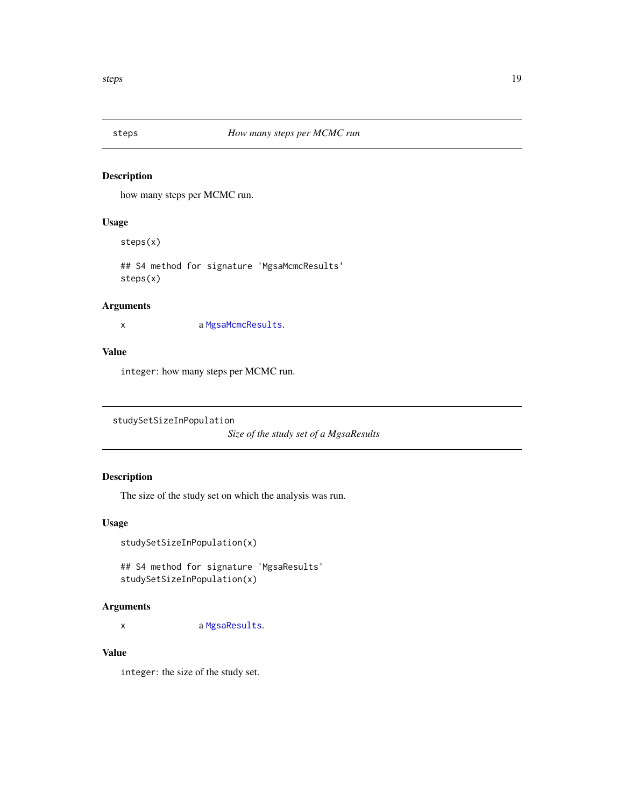<span id="page-18-0"></span>

how many steps per MCMC run.

# Usage

steps(x)

## S4 method for signature 'MgsaMcmcResults' steps(x)

#### Arguments

x a [MgsaMcmcResults](#page-9-1).

#### Value

integer: how many steps per MCMC run.

```
studySetSizeInPopulation
```
*Size of the study set of a MgsaResults*

# Description

The size of the study set on which the analysis was run.

#### Usage

studySetSizeInPopulation(x)

## S4 method for signature 'MgsaResults' studySetSizeInPopulation(x)

#### Arguments

x a [MgsaResults](#page-10-1).

# Value

integer: the size of the study set.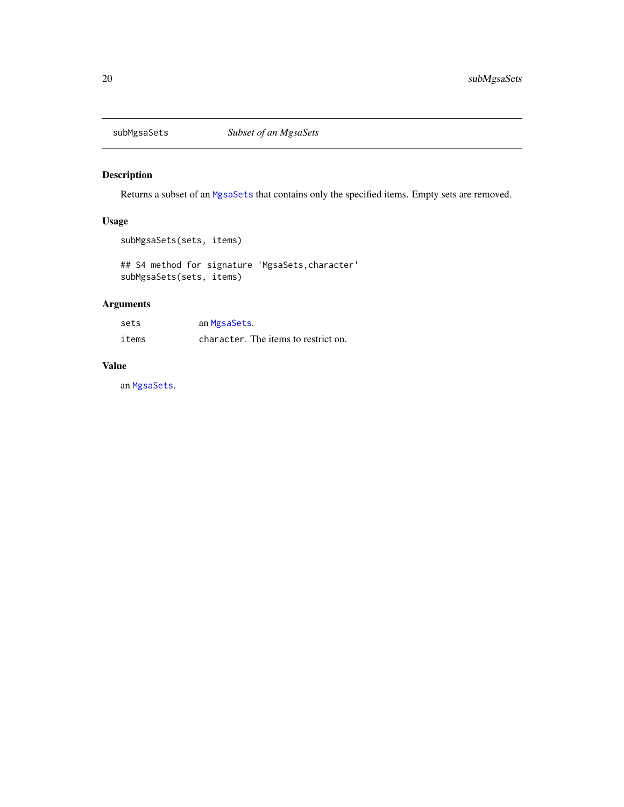<span id="page-19-0"></span>

Returns a subset of an [MgsaSets](#page-10-2) that contains only the specified items. Empty sets are removed.

# Usage

```
subMgsaSets(sets, items)
```

```
## S4 method for signature 'MgsaSets,character'
subMgsaSets(sets, items)
```
# Arguments

| sets  | an MgsaSets.                         |
|-------|--------------------------------------|
| items | character. The items to restrict on. |

# Value

an [MgsaSets](#page-10-2).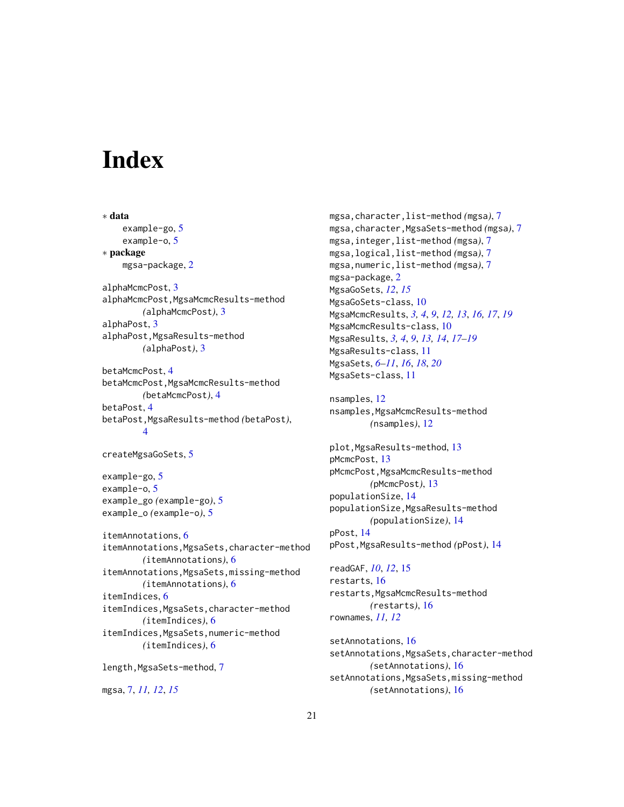# <span id="page-20-0"></span>**Index**

∗ data example-go, [5](#page-4-0) example-o, [5](#page-4-0) ∗ package mgsa-package, [2](#page-1-0) alphaMcmcPost, [3](#page-2-0) alphaMcmcPost,MgsaMcmcResults-method *(*alphaMcmcPost*)*, [3](#page-2-0) alphaPost, [3](#page-2-0) alphaPost,MgsaResults-method *(*alphaPost*)*, [3](#page-2-0) betaMcmcPost, [4](#page-3-0) betaMcmcPost,MgsaMcmcResults-method *(*betaMcmcPost*)*, [4](#page-3-0) betaPost, [4](#page-3-0) betaPost,MgsaResults-method *(*betaPost*)*, [4](#page-3-0) createMgsaGoSets, [5](#page-4-0) example-go, [5](#page-4-0) example-o, [5](#page-4-0) example\_go *(*example-go*)*, [5](#page-4-0) example\_o *(*example-o*)*, [5](#page-4-0) itemAnnotations, [6](#page-5-0) itemAnnotations,MgsaSets,character-method *(*itemAnnotations*)*, [6](#page-5-0) itemAnnotations,MgsaSets,missing-method *(*itemAnnotations*)*, [6](#page-5-0) itemIndices, [6](#page-5-0) itemIndices,MgsaSets,character-method *(*itemIndices*)*, [6](#page-5-0) itemIndices,MgsaSets,numeric-method *(*itemIndices*)*, [6](#page-5-0) length,MgsaSets-method, [7](#page-6-0)

mgsa, [7,](#page-6-0) *[11,](#page-10-0) [12](#page-11-0)*, *[15](#page-14-0)*

mgsa,character,list-method *(*mgsa*)*, [7](#page-6-0) mgsa,character,MgsaSets-method *(*mgsa*)*, [7](#page-6-0) mgsa,integer,list-method *(*mgsa*)*, [7](#page-6-0) mgsa,logical,list-method *(*mgsa*)*, [7](#page-6-0) mgsa,numeric,list-method *(*mgsa*)*, [7](#page-6-0) mgsa-package, [2](#page-1-0) MgsaGoSets, *[12](#page-11-0)*, *[15](#page-14-0)* MgsaGoSets-class, [10](#page-9-0) MgsaMcmcResults, *[3,](#page-2-0) [4](#page-3-0)*, *[9](#page-8-0)*, *[12,](#page-11-0) [13](#page-12-0)*, *[16,](#page-15-0) [17](#page-16-0)*, *[19](#page-18-0)* MgsaMcmcResults-class, [10](#page-9-0) MgsaResults, *[3,](#page-2-0) [4](#page-3-0)*, *[9](#page-8-0)*, *[13,](#page-12-0) [14](#page-13-0)*, *[17](#page-16-0)[–19](#page-18-0)* MgsaResults-class, [11](#page-10-0) MgsaSets, *[6](#page-5-0)[–11](#page-10-0)*, *[16](#page-15-0)*, *[18](#page-17-0)*, *[20](#page-19-0)* MgsaSets-class, [11](#page-10-0)

nsamples, [12](#page-11-0) nsamples,MgsaMcmcResults-method *(*nsamples*)*, [12](#page-11-0)

plot, MgsaResults-method, [13](#page-12-0) pMcmcPost, [13](#page-12-0) pMcmcPost,MgsaMcmcResults-method *(*pMcmcPost*)*, [13](#page-12-0) populationSize, [14](#page-13-0) populationSize,MgsaResults-method *(*populationSize*)*, [14](#page-13-0) pPost, [14](#page-13-0) pPost,MgsaResults-method *(*pPost*)*, [14](#page-13-0)

readGAF, *[10](#page-9-0)*, *[12](#page-11-0)*, [15](#page-14-0) restarts, [16](#page-15-0) restarts,MgsaMcmcResults-method *(*restarts*)*, [16](#page-15-0) rownames, *[11,](#page-10-0) [12](#page-11-0)*

setAnnotations, [16](#page-15-0) setAnnotations,MgsaSets,character-method *(*setAnnotations*)*, [16](#page-15-0) setAnnotations,MgsaSets,missing-method *(*setAnnotations*)*, [16](#page-15-0)